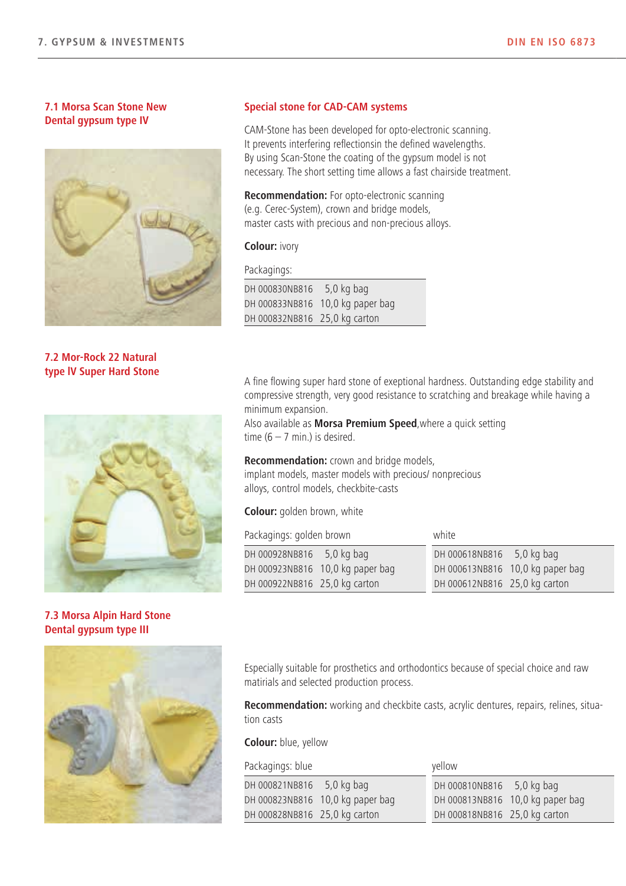Qualität "Made in Germany"

## 7.1 Morsa Scan Stone New Dental gypsum type IV



7.2 Mor-Rock 22 Natural type lV Super Hard Stone



7.3 Morsa Alpin Hard Stone Dental gypsum type III



#### Special stone for CAD-CAM systems

CAM-Stone has been developed for opto-electronic scanning. It prevents interfering reflectionsin the defined wavelengths. By using Scan-Stone the coating of the gypsum model is not necessary. The short setting time allows a fast chairside treatment.

Recommendation: For opto-electronic scanning (e.g. Cerec-System), crown and bridge models, master casts with precious and non-precious alloys.

## Colour: ivory

Packagings:

| DH 000830NB816 5,0 kg bag     |                                  |
|-------------------------------|----------------------------------|
|                               | DH 000833NB816 10,0 kg paper bag |
| DH 000832NB816 25,0 kg carton |                                  |

A fine flowing super hard stone of exeptional hardness. Outstanding edge stability and compressive strength, very good resistance to scratching and breakage while having a minimum expansion.

Also available as **Morsa Premium Speed**, where a quick setting time  $(6 - 7$  min.) is desired.

Recommendation: crown and bridge models, implant models, master models with precious/ nonprecious alloys, control models, checkbite-casts

Colour: golden brown, white

Packagings: golden brown white

| rachagnigs. golden brown         | <b>VVIIILL</b>                   |
|----------------------------------|----------------------------------|
| 5,0 kg bag<br>DH 000928NB816     | DH 000618NB816 5,0 kg bag        |
| DH 000923NB816 10,0 kg paper bag | DH 000613NB816 10,0 kg paper bag |
| DH 000922NB816 25,0 kg carton    | DH 000612NB816 25,0 kg carton    |

Especially suitable for prosthetics and orthodontics because of special choice and raw matirials and selected production process.

Recommendation: working and checkbite casts, acrylic dentures, repairs, relines, situation casts

## Colour: blue, yellow

| Packagings: blue                 | yellow                           |  |
|----------------------------------|----------------------------------|--|
| DH 000821NB816 5,0 kg bag        | DH 000810NB816 5,0 kg bag        |  |
| DH 000823NB816 10,0 kg paper bag | DH 000813NB816 10,0 kg paper bag |  |
| DH 000828NB816 25,0 kg carton    | DH 000818NB816 25,0 kg carton    |  |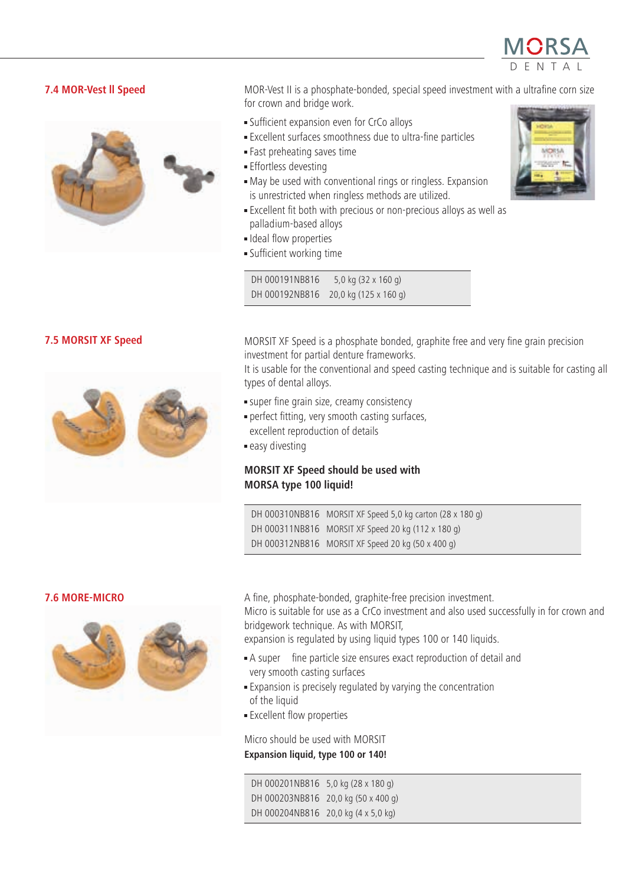

# 7.4 MOR-Vest ll Speed



MOR-Vest II is a phosphate-bonded, special speed investment with a ultrafine corn size for crown and bridge work.

- · Sufficient expansion even for CrCo alloys
- · Excellent surfaces smoothness due to ultra-fine particles
- · Fast preheating saves time
- · Effortless devesting
- · May be used with conventional rings or ringless. Expansion is unrestricted when ringless methods are utilized.
- · Excellent fit both with precious or non-precious alloys as well as palladium-based alloys
- · Ideal flow properties
- · Sufficient working time

DH 000191NB816 5,0 kg (32 x 160 g) DH 000192NB816 20,0 kg (125 x 160 g)



## 7.5 MORSIT XF Speed



MORSIT XF Speed is a phosphate bonded, graphite free and very fine grain precision investment for partial denture frameworks.

It is usable for the conventional and speed casting technique and is suitable for casting all types of dental alloys.

- · super fine grain size, creamy consistency
- · perfect fitting, very smooth casting surfaces, excellent reproduction of details
- · easy divesting

# MORSIT XF Speed should be used with MORSA type 100 liquid!

DH 000310NB816 MORSIT XF Speed 5,0 kg carton (28 x 180 g) DH 000311NB816 MORSIT XF Speed 20 kg (112 x 180 g) DH 000312NB816 MORSIT XF Speed 20 kg (50 x 400 g)

#### 7.6 MORE-MICRO



A fine, phosphate-bonded, graphite-free precision investment. Micro is suitable for use as a CrCo investment and also used successfully in for crown and

bridgework technique. As with MORSIT,

expansion is regulated by using liquid types 100 or 140 liquids.

- · A super‐fine particle size ensures exact reproduction of detail and very smooth casting surfaces
- · Expansion is precisely regulated by varying the concentration of the liquid
- · Excellent flow properties

Micro should be used with MORSIT Expansion liquid, type 100 or 140!

DH 000201NB816 5,0 kg (28 x 180 g) DH 000203NB816 20,0 kg (50 x 400 g) DH 000204NB816 20,0 kg (4 x 5,0 kg)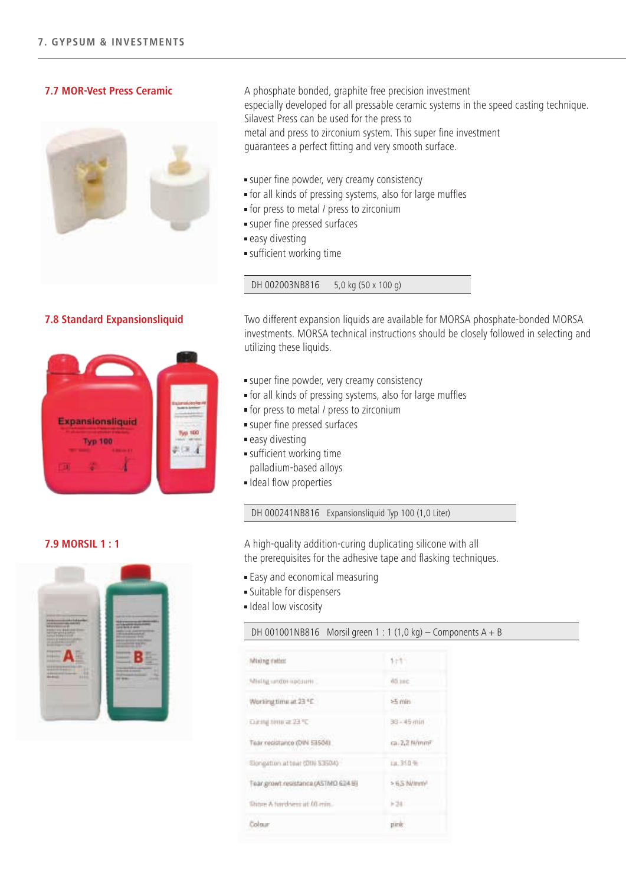## 7.7 MOR-Vest Press Ceramic



A phosphate bonded, graphite free precision investment especially developed for all pressable ceramic systems in the speed casting technique. Silavest Press can be used for the press to metal and press to zirconium system. This super fine investment guarantees a perfect fitting and very smooth surface.

Qualität "Made in Germany"

- · super fine powder, very creamy consistency
- · for all kinds of pressing systems, also for large muffles
- · for press to metal / press to zirconium
- · super fine pressed surfaces
- · easy divesting
- · sufficient working time

DH 002003NB816 5,0 kg (50 x 100 g)

## 7.8 Standard Expansionsliquid



Two different expansion liquids are available for MORSA phosphate-bonded MORSA investments. MORSA technical instructions should be closely followed in selecting and utilizing these liquids.

- · super fine powder, very creamy consistency
- · for all kinds of pressing systems, also for large muffles
- · for press to metal / press to zirconium
- · super fine pressed surfaces
- · easy divesting
- · sufficient working time palladium-based alloys
- · Ideal flow properties

DH 000241NB816 Expansionsliquid Typ 100 (1,0 Liter)

A high-quality addition-curing duplicating silicone with all the prerequisites for the adhesive tape and flasking techniques.

- · Easy and economical measuring
- · Suitable for dispensers
- · Ideal low viscosity

#### DH 001001NB816 Morsil green 1 : 1 (1,0 kg) – Components A + B

| Mixing ratio:                       | $173 -$                   |
|-------------------------------------|---------------------------|
| Mislig uroter spourm                | doine                     |
| 3 <sup>9</sup> ES fix amitgrant W   | am 24<br>石製品社             |
| During time at 23 °C                | 33 - 45 min               |
| Teacresistance (DIN 53504)          | ca. 2,2 N/mm <sup>2</sup> |
| Elongation at tear (DII) 53504)     | 山.340年                    |
| Tear growt resistance (ASTMD 634 B) | > 6,5 N/avr/              |
| Shine A furd seri at 60 min.        | $-34$                     |
| Colour                              | panie                     |